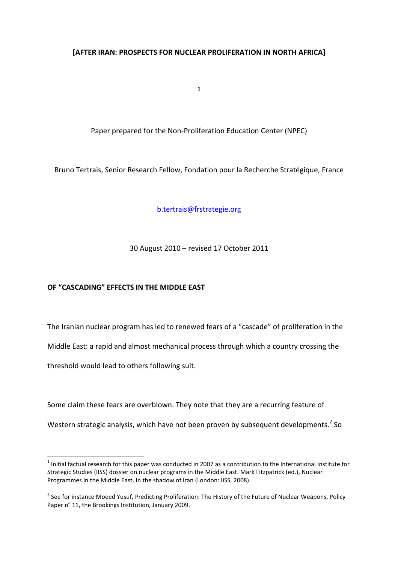## **[AFTER IRAN: PROSPECTS FOR NUCLEAR PROLIFERATION IN NORTH AFRICA]**

**1**

Paper prepared for the Non-Proliferation Education Center (NPEC)

Bruno Tertrais, Senior Research Fellow, Fondation pour la Recherche Stratégique, France

b.tertrais@frstrategie.org

30 August 2010 – revised 17 October 2011

# **OF "CASCADING" EFFECTS IN THE MIDDLE EAST**

l

The Iranian nuclear program has led to renewed fears of a "cascade" of proliferation in the Middle East: a rapid and almost mechanical process through which a country crossing the threshold would lead to others following suit.

Some claim these fears are overblown. They note that they are a recurring feature of

Western strategic analysis, which have not been proven by subsequent developments.<sup>2</sup> So

 $^1$  Initial factual research for this paper was conducted in 2007 as a contribution to the International Institute for Strategic Studies (IISS) dossier on nuclear programs in the Middle East. Mark Fitzpatrick (ed.), Nuclear Programmes in the Middle East. In the shadow of Iran (London: IISS, 2008).

<sup>&</sup>lt;sup>2</sup> See for instance Moeed Yusuf, Predicting Proliferation: The History of the Future of Nuclear Weapons, Policy Paper n° 11, the Brookings Institution, January 2009.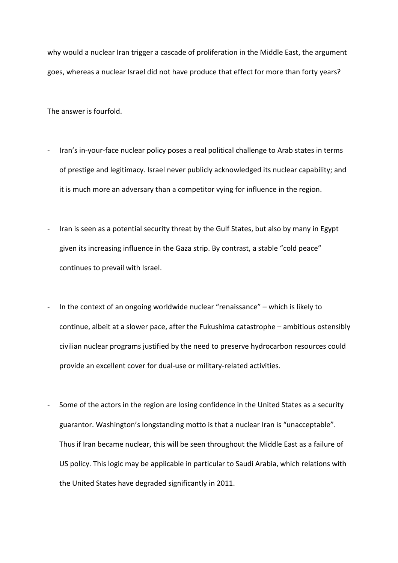why would a nuclear Iran trigger a cascade of proliferation in the Middle East, the argument goes, whereas a nuclear Israel did not have produce that effect for more than forty years?

The answer is fourfold.

- Iran's in-your-face nuclear policy poses a real political challenge to Arab states in terms of prestige and legitimacy. Israel never publicly acknowledged its nuclear capability; and it is much more an adversary than a competitor vying for influence in the region.
- Iran is seen as a potential security threat by the Gulf States, but also by many in Egypt given its increasing influence in the Gaza strip. By contrast, a stable "cold peace" continues to prevail with Israel.
- In the context of an ongoing worldwide nuclear "renaissance" which is likely to continue, albeit at a slower pace, after the Fukushima catastrophe – ambitious ostensibly civilian nuclear programs justified by the need to preserve hydrocarbon resources could provide an excellent cover for dual-use or military-related activities.
- Some of the actors in the region are losing confidence in the United States as a security guarantor. Washington's longstanding motto is that a nuclear Iran is "unacceptable". Thus if Iran became nuclear, this will be seen throughout the Middle East as a failure of US policy. This logic may be applicable in particular to Saudi Arabia, which relations with the United States have degraded significantly in 2011.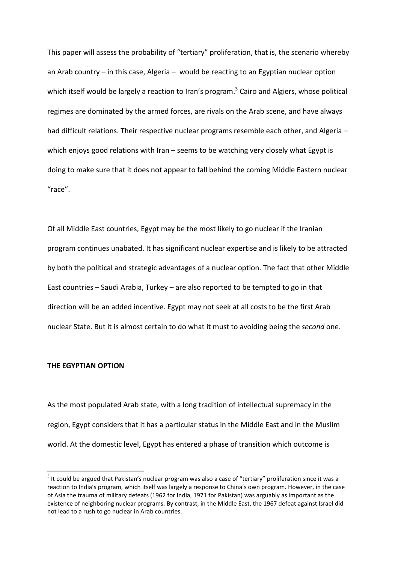This paper will assess the probability of "tertiary" proliferation, that is, the scenario whereby an Arab country – in this case, Algeria – would be reacting to an Egyptian nuclear option which itself would be largely a reaction to Iran's program.<sup>3</sup> Cairo and Algiers, whose political regimes are dominated by the armed forces, are rivals on the Arab scene, and have always had difficult relations. Their respective nuclear programs resemble each other, and Algeria which enjoys good relations with Iran – seems to be watching very closely what Egypt is doing to make sure that it does not appear to fall behind the coming Middle Eastern nuclear "race".

Of all Middle East countries, Egypt may be the most likely to go nuclear if the Iranian program continues unabated. It has significant nuclear expertise and is likely to be attracted by both the political and strategic advantages of a nuclear option. The fact that other Middle East countries – Saudi Arabia, Turkey – are also reported to be tempted to go in that direction will be an added incentive. Egypt may not seek at all costs to be the first Arab nuclear State. But it is almost certain to do what it must to avoiding being the *second* one.

#### **THE EGYPTIAN OPTION**

l

As the most populated Arab state, with a long tradition of intellectual supremacy in the region, Egypt considers that it has a particular status in the Middle East and in the Muslim world. At the domestic level, Egypt has entered a phase of transition which outcome is

 $3$  It could be argued that Pakistan's nuclear program was also a case of "tertiary" proliferation since it was a reaction to India's program, which itself was largely a response to China's own program. However, in the case of Asia the trauma of military defeats (1962 for India, 1971 for Pakistan) was arguably as important as the existence of neighboring nuclear programs. By contrast, in the Middle East, the 1967 defeat against Israel did not lead to a rush to go nuclear in Arab countries.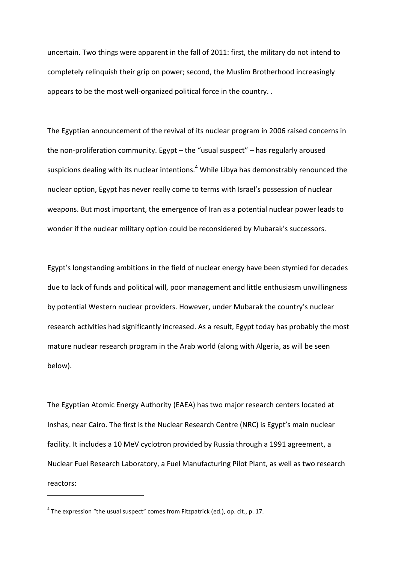uncertain. Two things were apparent in the fall of 2011: first, the military do not intend to completely relinquish their grip on power; second, the Muslim Brotherhood increasingly appears to be the most well-organized political force in the country. .

The Egyptian announcement of the revival of its nuclear program in 2006 raised concerns in the non-proliferation community. Egypt – the "usual suspect" – has regularly aroused suspicions dealing with its nuclear intentions.<sup>4</sup> While Libya has demonstrably renounced the nuclear option, Egypt has never really come to terms with Israel's possession of nuclear weapons. But most important, the emergence of Iran as a potential nuclear power leads to wonder if the nuclear military option could be reconsidered by Mubarak's successors.

Egypt's longstanding ambitions in the field of nuclear energy have been stymied for decades due to lack of funds and political will, poor management and little enthusiasm unwillingness by potential Western nuclear providers. However, under Mubarak the country's nuclear research activities had significantly increased. As a result, Egypt today has probably the most mature nuclear research program in the Arab world (along with Algeria, as will be seen below).

The Egyptian Atomic Energy Authority (EAEA) has two major research centers located at Inshas, near Cairo. The first is the Nuclear Research Centre (NRC) is Egypt's main nuclear facility. It includes a 10 MeV cyclotron provided by Russia through a 1991 agreement, a Nuclear Fuel Research Laboratory, a Fuel Manufacturing Pilot Plant, as well as two research reactors:

 $^4$  The expression "the usual suspect" comes from Fitzpatrick (ed.), op. cit., p. 17.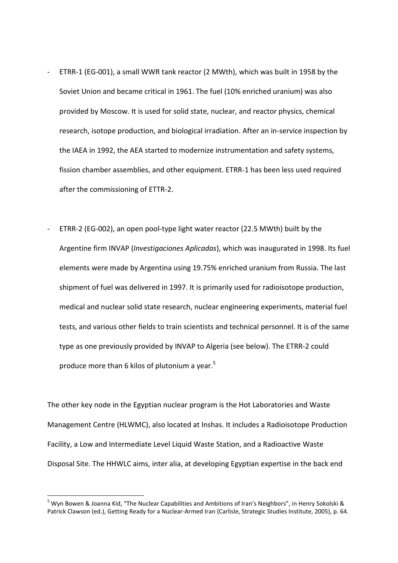- ETRR-1 (EG-001), a small WWR tank reactor (2 MWth), which was built in 1958 by the Soviet Union and became critical in 1961. The fuel (10% enriched uranium) was also provided by Moscow. It is used for solid state, nuclear, and reactor physics, chemical research, isotope production, and biological irradiation. After an in-service inspection by the IAEA in 1992, the AEA started to modernize instrumentation and safety systems, fission chamber assemblies, and other equipment. ETRR-1 has been less used required after the commissioning of ETTR-2.
- ETRR-2 (EG-002), an open pool-type light water reactor (22.5 MWth) built by the Argentine firm INVAP (*Investigaciones Aplicadas*), which was inaugurated in 1998. Its fuel elements were made by Argentina using 19.75% enriched uranium from Russia. The last shipment of fuel was delivered in 1997. It is primarily used for radioisotope production, medical and nuclear solid state research, nuclear engineering experiments, material fuel tests, and various other fields to train scientists and technical personnel. It is of the same type as one previously provided by INVAP to Algeria (see below). The ETRR-2 could produce more than 6 kilos of plutonium a year. $5$

The other key node in the Egyptian nuclear program is the Hot Laboratories and Waste Management Centre (HLWMC), also located at Inshas. It includes a Radioisotope Production Facility, a Low and Intermediate Level Liquid Waste Station, and a Radioactive Waste Disposal Site. The HHWLC aims, inter alia, at developing Egyptian expertise in the back end

<sup>&</sup>lt;sup>5</sup> Wyn Bowen & Joanna Kid, "The Nuclear Capabilities and Ambitions of Iran's Neighbors", in Henry Sokolski & Patrick Clawson (ed.), Getting Ready for a Nuclear-Armed Iran (Carlisle, Strategic Studies Institute, 2005), p. 64.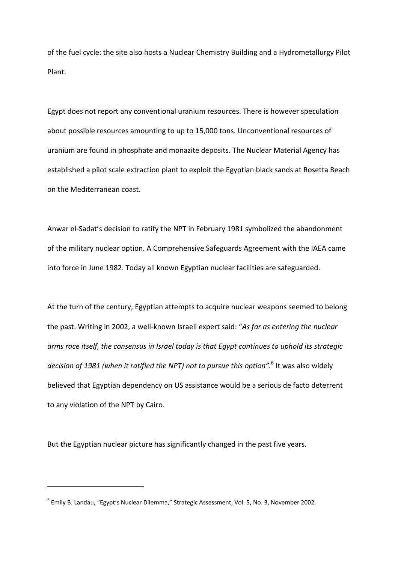of the fuel cycle: the site also hosts a Nuclear Chemistry Building and a Hydrometallurgy Pilot Plant.

Egypt does not report any conventional uranium resources. There is however speculation about possible resources amounting to up to 15,000 tons. Unconventional resources of uranium are found in phosphate and monazite deposits. The Nuclear Material Agency has established a pilot scale extraction plant to exploit the Egyptian black sands at Rosetta Beach on the Mediterranean coast.

Anwar el-Sadat's decision to ratify the NPT in February 1981 symbolized the abandonment of the military nuclear option. A Comprehensive Safeguards Agreement with the IAEA came into force in June 1982. Today all known Egyptian nuclear facilities are safeguarded.

At the turn of the century, Egyptian attempts to acquire nuclear weapons seemed to belong the past. Writing in 2002, a well-known Israeli expert said: "*As far as entering the nuclear arms race itself, the consensus in Israel today is that Egypt continues to uphold its strategic decision of 1981 (when it ratified the NPT) not to pursue this option".*<sup>6</sup> It was also widely believed that Egyptian dependency on US assistance would be a serious de facto deterrent to any violation of the NPT by Cairo.

But the Egyptian nuclear picture has significantly changed in the past five years.

<sup>&</sup>lt;sup>6</sup> Emily B. Landau, "Egypt's Nuclear Dilemma," Strategic Assessment, Vol. 5, No. 3, November 2002.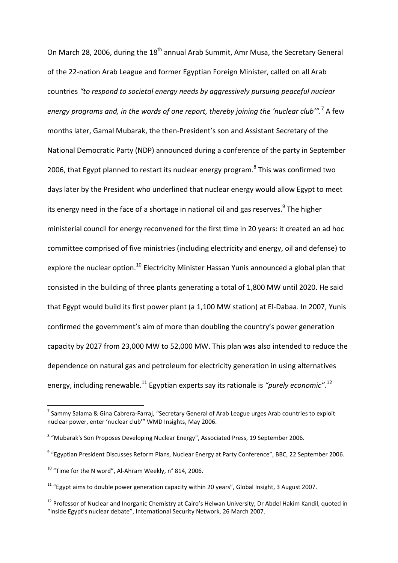On March 28, 2006, during the 18<sup>th</sup> annual Arab Summit, Amr Musa, the Secretary General of the 22-nation Arab League and former Egyptian Foreign Minister, called on all Arab countries *"to respond to societal energy needs by aggressively pursuing peaceful nuclear energy programs and, in the words of one report, thereby joining the 'nuclear club'".*<sup>7</sup> A few months later, Gamal Mubarak, the then-President's son and Assistant Secretary of the National Democratic Party (NDP) announced during a conference of the party in September 2006, that Egypt planned to restart its nuclear energy program.<sup>8</sup> This was confirmed two days later by the President who underlined that nuclear energy would allow Egypt to meet its energy need in the face of a shortage in national oil and gas reserves.<sup>9</sup> The higher ministerial council for energy reconvened for the first time in 20 years: it created an ad hoc committee comprised of five ministries (including electricity and energy, oil and defense) to explore the nuclear option.<sup>10</sup> Electricity Minister Hassan Yunis announced a global plan that consisted in the building of three plants generating a total of 1,800 MW until 2020. He said that Egypt would build its first power plant (a 1,100 MW station) at El-Dabaa. In 2007, Yunis confirmed the government's aim of more than doubling the country's power generation capacity by 2027 from 23,000 MW to 52,000 MW. This plan was also intended to reduce the dependence on natural gas and petroleum for electricity generation in using alternatives energy, including renewable.<sup>11</sup> Egyptian experts say its rationale is *"purely economic".*<sup>12</sup>

 $^7$  Sammy Salama & Gina Cabrera-Farraj, "Secretary General of Arab League urges Arab countries to exploit nuclear power, enter 'nuclear club'" WMD Insights, May 2006.

<sup>&</sup>lt;sup>8</sup> "Mubarak's Son Proposes Developing Nuclear Energy", Associated Press, 19 September 2006.

<sup>&</sup>lt;sup>9</sup> "Egyptian President Discusses Reform Plans, Nuclear Energy at Party Conference", BBC, 22 September 2006.

 $10$  "Time for the N word", Al-Ahram Weekly, n° 814, 2006.

 $11$  "Egypt aims to double power generation capacity within 20 years", Global Insight, 3 August 2007.

<sup>&</sup>lt;sup>12</sup> Professor of Nuclear and Inorganic Chemistry at Cairo's Helwan University, Dr Abdel Hakim Kandil, quoted in "Inside Egypt's nuclear debate", International Security Network, 26 March 2007.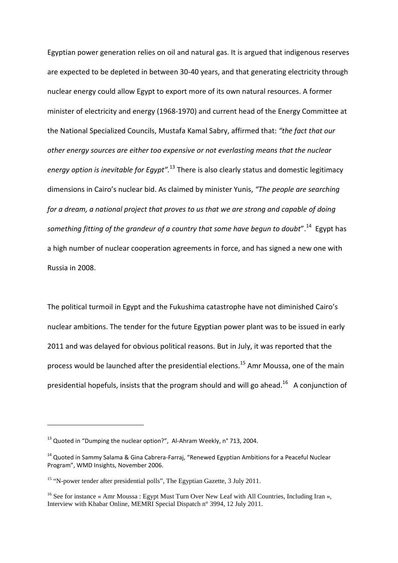Egyptian power generation relies on oil and natural gas. It is argued that indigenous reserves are expected to be depleted in between 30-40 years, and that generating electricity through nuclear energy could allow Egypt to export more of its own natural resources. A former minister of electricity and energy (1968-1970) and current head of the Energy Committee at the National Specialized Councils, Mustafa Kamal Sabry, affirmed that: *"the fact that our other energy sources are either too expensive or not everlasting means that the nuclear energy option is inevitable for Egypt".*<sup>13</sup> There is also clearly status and domestic legitimacy dimensions in Cairo's nuclear bid. As claimed by minister Yunis, *"The people are searching for a dream, a national project that proves to us that we are strong and capable of doing something fitting of the grandeur of a country that some have begun to doubt*".<sup>14</sup> Egypt has a high number of nuclear cooperation agreements in force, and has signed a new one with Russia in 2008.

The political turmoil in Egypt and the Fukushima catastrophe have not diminished Cairo's nuclear ambitions. The tender for the future Egyptian power plant was to be issued in early 2011 and was delayed for obvious political reasons. But in July, it was reported that the process would be launched after the presidential elections.<sup>15</sup> Amr Moussa, one of the main presidential hopefuls, insists that the program should and will go ahead.<sup>16</sup> A conjunction of

 $13$  Quoted in "Dumping the nuclear option?", Al-Ahram Weekly, n° 713, 2004.

 $14$  Quoted in Sammy Salama & Gina Cabrera-Farraj, "Renewed Egyptian Ambitions for a Peaceful Nuclear Program", WMD Insights, November 2006.

<sup>&</sup>lt;sup>15</sup> "N-power tender after presidential polls", The Egyptian Gazette, 3 July 2011.

<sup>&</sup>lt;sup>16</sup> See for instance « Amr Moussa : Egypt Must Turn Over New Leaf with All Countries, Including Iran », Interview with Khabar Online, MEMRI Special Dispatch n° 3994, 12 July 2011.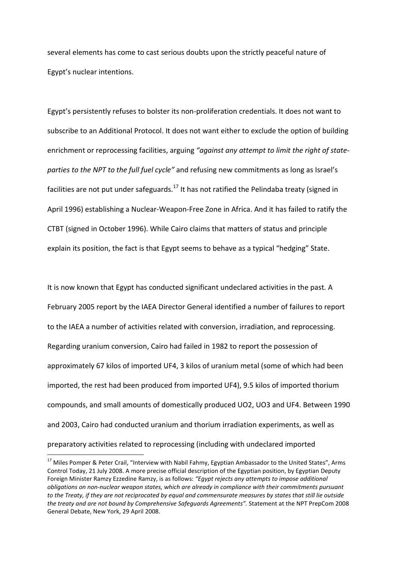several elements has come to cast serious doubts upon the strictly peaceful nature of Egypt's nuclear intentions.

Egypt's persistently refuses to bolster its non-proliferation credentials. It does not want to subscribe to an Additional Protocol. It does not want either to exclude the option of building enrichment or reprocessing facilities, arguing *"against any attempt to limit the right of stateparties to the NPT to the full fuel cycle"* and refusing new commitments as long as Israel's facilities are not put under safeguards.<sup>17</sup> It has not ratified the Pelindaba treaty (signed in April 1996) establishing a Nuclear-Weapon-Free Zone in Africa. And it has failed to ratify the CTBT (signed in October 1996). While Cairo claims that matters of status and principle explain its position, the fact is that Egypt seems to behave as a typical "hedging" State.

It is now known that Egypt has conducted significant undeclared activities in the past*.* A February 2005 report by the IAEA Director General identified a number of failures to report to the IAEA a number of activities related with conversion, irradiation, and reprocessing. Regarding uranium conversion, Cairo had failed in 1982 to report the possession of approximately 67 kilos of imported UF4, 3 kilos of uranium metal (some of which had been imported, the rest had been produced from imported UF4), 9.5 kilos of imported thorium compounds, and small amounts of domestically produced UO2, UO3 and UF4. Between 1990 and 2003, Cairo had conducted uranium and thorium irradiation experiments, as well as preparatory activities related to reprocessing (including with undeclared imported

<sup>&</sup>lt;sup>17</sup> Miles Pomper & Peter Crail, "Interview with Nabil Fahmy, Egyptian Ambassador to the United States", Arms Control Today, 21 July 2008. A more precise official description of the Egyptian position, by Egyptian Deputy Foreign Minister Ramzy Ezzedine Ramzy, is as follows: *"Egypt rejects any attempts to impose additional obligations on non-nuclear weapon states, which are already in compliance with their commitments pursuant*  to the Treaty, if they are not reciprocated by equal and commensurate measures by states that still lie outside *the treaty and are not bound by Comprehensive Safeguards Agreements".* Statement at the NPT PrepCom 2008 General Debate, New York, 29 April 2008.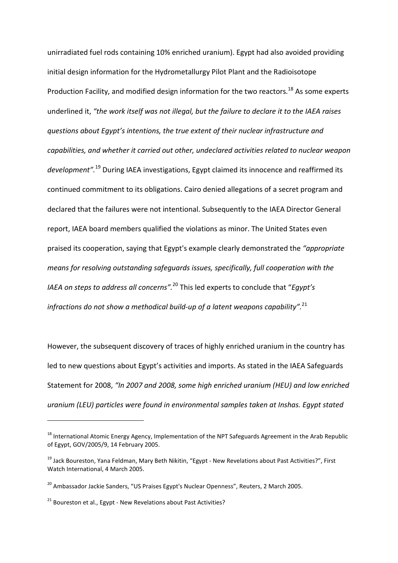unirradiated fuel rods containing 10% enriched uranium). Egypt had also avoided providing initial design information for the Hydrometallurgy Pilot Plant and the Radioisotope Production Facility, and modified design information for the two reactors.<sup>18</sup> As some experts underlined it, *"the work itself was not illegal, but the failure to declare it to the IAEA raises questions about Egypt's intentions, the true extent of their nuclear infrastructure and capabilities, and whether it carried out other, undeclared activities related to nuclear weapon development".*<sup>19</sup> During IAEA investigations, Egypt claimed its innocence and reaffirmed its continued commitment to its obligations. Cairo denied allegations of a secret program and declared that the failures were not intentional. Subsequently to the IAEA Director General report, IAEA board members qualified the violations as minor. The United States even praised its cooperation, saying that Egypt's example clearly demonstrated the *"appropriate means for resolving outstanding safeguards issues, specifically, full cooperation with the IAEA on steps to address all concerns".*<sup>20</sup> This led experts to conclude that "*Egypt's infractions do not show a methodical build-up of a latent weapons capability".*<sup>21</sup>

However, the subsequent discovery of traces of highly enriched uranium in the country has led to new questions about Egypt's activities and imports. As stated in the IAEA Safeguards Statement for 2008, *"In 2007 and 2008, some high enriched uranium (HEU) and low enriched uranium (LEU) particles were found in environmental samples taken at Inshas. Egypt stated* 

<sup>&</sup>lt;sup>18</sup> International Atomic Energy Agency, Implementation of the NPT Safeguards Agreement in the Arab Republic of Egypt, GOV/2005/9, 14 February 2005.

<sup>19</sup> Jack Boureston, Yana Feldman, Mary Beth Nikitin, "Egypt - New Revelations about Past Activities?", First Watch International, 4 March 2005.

<sup>&</sup>lt;sup>20</sup> Ambassador Jackie Sanders, "US Praises Egypt's Nuclear Openness", Reuters, 2 March 2005.

 $21$  Boureston et al., Egypt - New Revelations about Past Activities?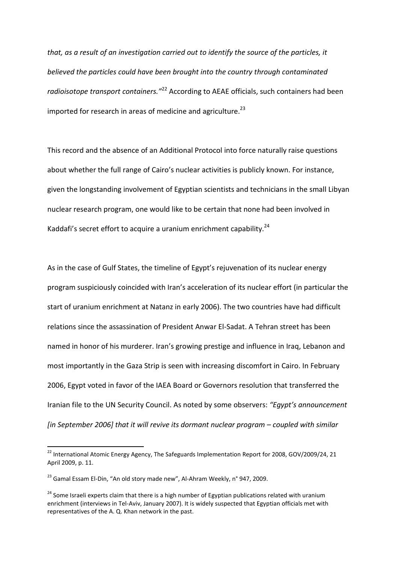*that, as a result of an investigation carried out to identify the source of the particles, it believed the particles could have been brought into the country through contaminated radioisotope transport containers."*<sup>22</sup> According to AEAE officials, such containers had been imported for research in areas of medicine and agriculture.<sup>23</sup>

This record and the absence of an Additional Protocol into force naturally raise questions about whether the full range of Cairo's nuclear activities is publicly known. For instance, given the longstanding involvement of Egyptian scientists and technicians in the small Libyan nuclear research program, one would like to be certain that none had been involved in Kaddafi's secret effort to acquire a uranium enrichment capability. $^{24}$ 

As in the case of Gulf States, the timeline of Egypt's rejuvenation of its nuclear energy program suspiciously coincided with Iran's acceleration of its nuclear effort (in particular the start of uranium enrichment at Natanz in early 2006). The two countries have had difficult relations since the assassination of President Anwar El-Sadat. A Tehran street has been named in honor of his murderer. Iran's growing prestige and influence in Iraq, Lebanon and most importantly in the Gaza Strip is seen with increasing discomfort in Cairo. In February 2006, Egypt voted in favor of the IAEA Board or Governors resolution that transferred the Iranian file to the UN Security Council. As noted by some observers: *"Egypt's announcement [in September 2006] that it will revive its dormant nuclear program – coupled with similar* 

<sup>&</sup>lt;sup>22</sup> International Atomic Energy Agency, The Safeguards Implementation Report for 2008, GOV/2009/24, 21 April 2009, p. 11.

<sup>&</sup>lt;sup>23</sup> Gamal Essam El-Din, "An old story made new", Al-Ahram Weekly, n° 947, 2009.

<sup>&</sup>lt;sup>24</sup> Some Israeli experts claim that there is a high number of Egyptian publications related with uranium enrichment (interviews in Tel-Aviv, January 2007). It is widely suspected that Egyptian officials met with representatives of the A. Q. Khan network in the past.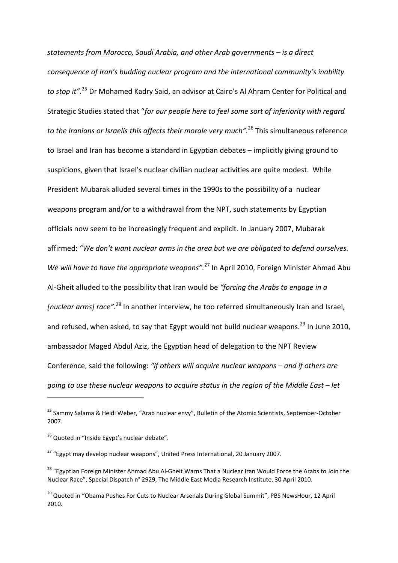*statements from Morocco, Saudi Arabia, and other Arab governments – is a direct consequence of Iran's budding nuclear program and the international community's inability to stop it".*<sup>25</sup> Dr Mohamed Kadry Said, an advisor at Cairo's Al Ahram Center for Political and Strategic Studies stated that "*for our people here to feel some sort of inferiority with regard to the Iranians or Israelis this affects their morale very much".*<sup>26</sup> This simultaneous reference to Israel and Iran has become a standard in Egyptian debates – implicitly giving ground to suspicions, given that Israel's nuclear civilian nuclear activities are quite modest. While President Mubarak alluded several times in the 1990s to the possibility of a nuclear weapons program and/or to a withdrawal from the NPT, such statements by Egyptian officials now seem to be increasingly frequent and explicit. In January 2007, Mubarak affirmed: *"We don't want nuclear arms in the area but we are obligated to defend ourselves. We will have to have the appropriate weapons".*<sup>27</sup> In April 2010, Foreign Minister Ahmad Abu Al-Gheit alluded to the possibility that Iran would be *"forcing the Arabs to engage in a [nuclear arms] race".*<sup>28</sup> In another interview, he too referred simultaneously Iran and Israel, and refused, when asked, to say that Egypt would not build nuclear weapons.<sup>29</sup> In June 2010, ambassador Maged Abdul Aziz, the Egyptian head of delegation to the NPT Review Conference, said the following: *"if others will acquire nuclear weapons – and if others are going to use these nuclear weapons to acquire status in the region of the Middle East – let* 

<sup>&</sup>lt;sup>25</sup> Sammy Salama & Heidi Weber, "Arab nuclear envy", Bulletin of the Atomic Scientists, September-October 2007.

 $26$  Quoted in "Inside Egypt's nuclear debate".

 $27$  "Egypt may develop nuclear weapons", United Press International, 20 January 2007.

<sup>&</sup>lt;sup>28</sup> "Egyptian Foreign Minister Ahmad Abu Al-Gheit Warns That a Nuclear Iran Would Force the Arabs to Join the Nuclear Race", Special Dispatch n° 2929, The Middle East Media Research Institute, 30 April 2010.

<sup>&</sup>lt;sup>29</sup> Quoted in "Obama Pushes For Cuts to Nuclear Arsenals During Global Summit", PBS NewsHour, 12 April 2010.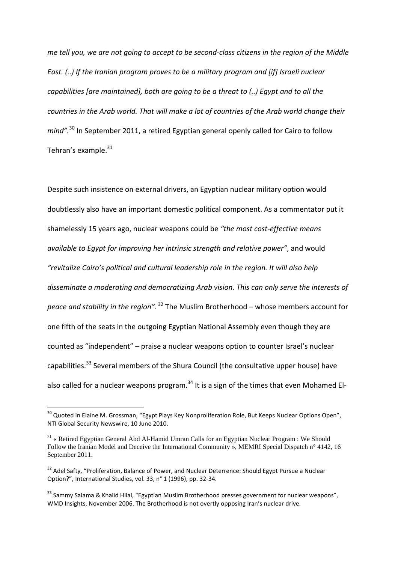*me tell you, we are not going to accept to be second-class citizens in the region of the Middle East. (..) If the Iranian program proves to be a military program and [if] Israeli nuclear capabilities [are maintained], both are going to be a threat to (..) Egypt and to all the countries in the Arab world. That will make a lot of countries of the Arab world change their mind".*<sup>30</sup> In September 2011, a retired Egyptian general openly called for Cairo to follow Tehran's example.<sup>31</sup>

Despite such insistence on external drivers, an Egyptian nuclear military option would doubtlessly also have an important domestic political component. As a commentator put it shamelessly 15 years ago, nuclear weapons could be *"the most cost-effective means available to Egypt for improving her intrinsic strength and relative power"*, and would *"revitalize Cairo's political and cultural leadership role in the region. It will also help disseminate a moderating and democratizing Arab vision. This can only serve the interests of peace and stability in the region".*<sup>32</sup> The Muslim Brotherhood – whose members account for one fifth of the seats in the outgoing Egyptian National Assembly even though they are counted as "independent" – praise a nuclear weapons option to counter Israel's nuclear capabilities.<sup>33</sup> Several members of the Shura Council (the consultative upper house) have also called for a nuclear weapons program.<sup>34</sup> It is a sign of the times that even Mohamed El-

 $^{30}$  Quoted in Elaine M. Grossman, "Egypt Plays Key Nonproliferation Role, But Keeps Nuclear Options Open", NTI Global Security Newswire, 10 June 2010.

 $31 \times$  Retired Egyptian General Abd Al-Hamid Umran Calls for an Egyptian Nuclear Program : We Should Follow the Iranian Model and Deceive the International Community », MEMRI Special Dispatch n° 4142, 16 September 2011.

<sup>&</sup>lt;sup>32</sup> Adel Safty, "Proliferation, Balance of Power, and Nuclear Deterrence: Should Egypt Pursue a Nuclear Option?", International Studies, vol. 33, n° 1 (1996), pp. 32-34.

<sup>&</sup>lt;sup>33</sup> Sammy Salama & Khalid Hilal, "Egyptian Muslim Brotherhood presses government for nuclear weapons", WMD Insights, November 2006. The Brotherhood is not overtly opposing Iran's nuclear drive.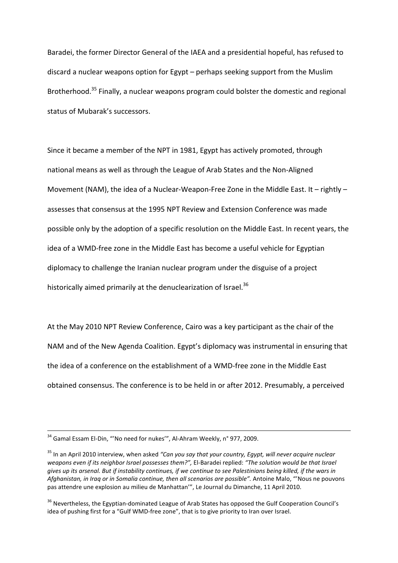Baradei, the former Director General of the IAEA and a presidential hopeful, has refused to discard a nuclear weapons option for Egypt – perhaps seeking support from the Muslim Brotherhood.<sup>35</sup> Finally, a nuclear weapons program could bolster the domestic and regional status of Mubarak's successors.

Since it became a member of the NPT in 1981, Egypt has actively promoted, through national means as well as through the League of Arab States and the Non-Aligned Movement (NAM), the idea of a Nuclear-Weapon-Free Zone in the Middle East. It – rightly – assesses that consensus at the 1995 NPT Review and Extension Conference was made possible only by the adoption of a specific resolution on the Middle East. In recent years, the idea of a WMD-free zone in the Middle East has become a useful vehicle for Egyptian diplomacy to challenge the Iranian nuclear program under the disguise of a project historically aimed primarily at the denuclearization of Israel.<sup>36</sup>

At the May 2010 NPT Review Conference, Cairo was a key participant as the chair of the NAM and of the New Agenda Coalition. Egypt's diplomacy was instrumental in ensuring that the idea of a conference on the establishment of a WMD-free zone in the Middle East obtained consensus. The conference is to be held in or after 2012. Presumably, a perceived

<u>.</u>

<sup>&</sup>lt;sup>34</sup> Gamal Essam El-Din, "'No need for nukes'", Al-Ahram Weekly, n° 977, 2009.

<sup>35</sup> In an April 2010 interview, when asked *"Can you say that your country, Egypt, will never acquire nuclear weapons even if its neighbor Israel possesses them?",* El-Baradei replied: *"The solution would be that Israel gives up its arsenal. But if instability continues, if we continue to see Palestinians being killed, if the wars in*  Afghanistan, in Iraq or in Somalia continue, then all scenarios are possible". Antoine Malo, "'Nous ne pouvons pas attendre une explosion au milieu de Manhattan'", Le Journal du Dimanche, 11 April 2010.

<sup>&</sup>lt;sup>36</sup> Nevertheless, the Egyptian-dominated League of Arab States has opposed the Gulf Cooperation Council's idea of pushing first for a "Gulf WMD-free zone", that is to give priority to Iran over Israel.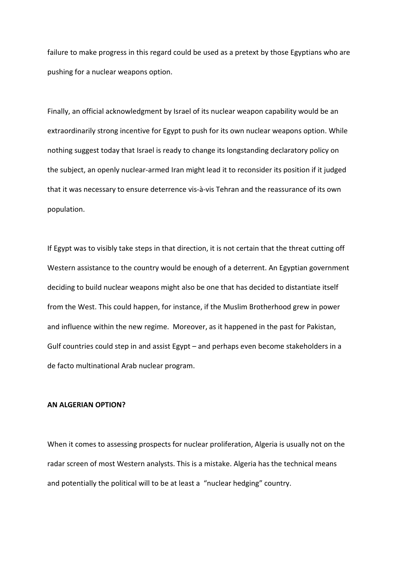failure to make progress in this regard could be used as a pretext by those Egyptians who are pushing for a nuclear weapons option.

Finally, an official acknowledgment by Israel of its nuclear weapon capability would be an extraordinarily strong incentive for Egypt to push for its own nuclear weapons option. While nothing suggest today that Israel is ready to change its longstanding declaratory policy on the subject, an openly nuclear-armed Iran might lead it to reconsider its position if it judged that it was necessary to ensure deterrence vis-à-vis Tehran and the reassurance of its own population.

If Egypt was to visibly take steps in that direction, it is not certain that the threat cutting off Western assistance to the country would be enough of a deterrent. An Egyptian government deciding to build nuclear weapons might also be one that has decided to distantiate itself from the West. This could happen, for instance, if the Muslim Brotherhood grew in power and influence within the new regime. Moreover, as it happened in the past for Pakistan, Gulf countries could step in and assist Egypt – and perhaps even become stakeholders in a de facto multinational Arab nuclear program.

#### **AN ALGERIAN OPTION?**

When it comes to assessing prospects for nuclear proliferation, Algeria is usually not on the radar screen of most Western analysts. This is a mistake. Algeria has the technical means and potentially the political will to be at least a "nuclear hedging" country.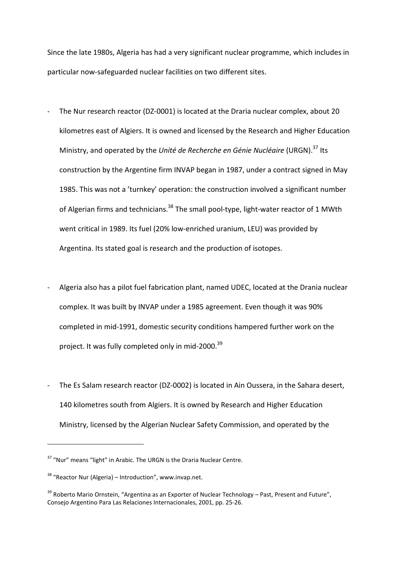Since the late 1980s, Algeria has had a very significant nuclear programme, which includes in particular now-safeguarded nuclear facilities on two different sites.

- The Nur research reactor (DZ-0001) is located at the Draria nuclear complex, about 20 kilometres east of Algiers. It is owned and licensed by the Research and Higher Education Ministry, and operated by the *Unité de Recherche en Génie Nucléaire* (URGN).<sup>37</sup> Its construction by the Argentine firm INVAP began in 1987, under a contract signed in May 1985. This was not a 'turnkey' operation: the construction involved a significant number of Algerian firms and technicians.<sup>38</sup> The small pool-type, light-water reactor of 1 MWth went critical in 1989. Its fuel (20% low-enriched uranium, LEU) was provided by Argentina. Its stated goal is research and the production of isotopes.
- Algeria also has a pilot fuel fabrication plant, named UDEC, located at the Drania nuclear complex. It was built by INVAP under a 1985 agreement. Even though it was 90% completed in mid-1991, domestic security conditions hampered further work on the project. It was fully completed only in mid-2000.<sup>39</sup>
- The Es Salam research reactor (DZ-0002) is located in Ain Oussera, in the Sahara desert, 140 kilometres south from Algiers. It is owned by Research and Higher Education Ministry, licensed by the Algerian Nuclear Safety Commission, and operated by the

<sup>&</sup>lt;sup>37</sup> "Nur" means "light" in Arabic. The URGN is the Draria Nuclear Centre.

 $38$  "Reactor Nur (Algeria) – Introduction", www.invap.net.

<sup>&</sup>lt;sup>39</sup> Roberto Mario Ornstein, "Argentina as an Exporter of Nuclear Technology – Past, Present and Future", Consejo Argentino Para Las Relaciones Internacionales, 2001, pp. 25-26.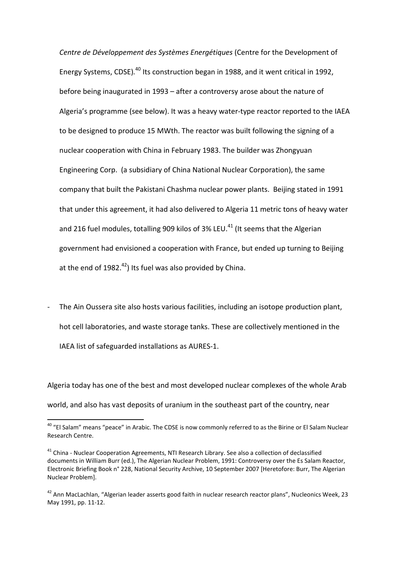*Centre de Développement des Systèmes Energétiques* (Centre for the Development of Energy Systems, CDSE).<sup>40</sup> Its construction began in 1988, and it went critical in 1992, before being inaugurated in 1993 – after a controversy arose about the nature of Algeria's programme (see below). It was a heavy water-type reactor reported to the IAEA to be designed to produce 15 MWth. The reactor was built following the signing of a nuclear cooperation with China in February 1983. The builder was Zhongyuan Engineering Corp. (a subsidiary of China National Nuclear Corporation), the same company that built the Pakistani Chashma nuclear power plants. Beijing stated in 1991 that under this agreement, it had also delivered to Algeria 11 metric tons of heavy water and 216 fuel modules, totalling 909 kilos of 3% LEU.<sup>41</sup> (It seems that the Algerian government had envisioned a cooperation with France, but ended up turning to Beijing at the end of  $1982.<sup>42</sup>$  Its fuel was also provided by China.

The Ain Oussera site also hosts various facilities, including an isotope production plant, hot cell laboratories, and waste storage tanks. These are collectively mentioned in the IAEA list of safeguarded installations as AURES-1.

Algeria today has one of the best and most developed nuclear complexes of the whole Arab world, and also has vast deposits of uranium in the southeast part of the country, near

<sup>&</sup>lt;sup>40</sup> "El Salam" means "peace" in Arabic. The CDSE is now commonly referred to as the Birine or El Salam Nuclear Research Centre.

<sup>41</sup> China - Nuclear Cooperation Agreements, NTI Research Library. See also a collection of declassified documents in William Burr (ed.), The Algerian Nuclear Problem, 1991: Controversy over the Es Salam Reactor, Electronic Briefing Book n° 228, National Security Archive, 10 September 2007 [Heretofore: Burr, The Algerian Nuclear Problem].

<sup>&</sup>lt;sup>42</sup> Ann MacLachlan, "Algerian leader asserts good faith in nuclear research reactor plans", Nucleonics Week, 23 May 1991, pp. 11-12.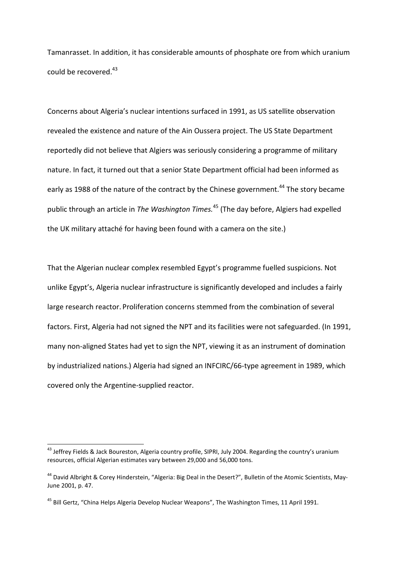Tamanrasset. In addition, it has considerable amounts of phosphate ore from which uranium could be recovered.<sup>43</sup>

Concerns about Algeria's nuclear intentions surfaced in 1991, as US satellite observation revealed the existence and nature of the Ain Oussera project. The US State Department reportedly did not believe that Algiers was seriously considering a programme of military nature. In fact, it turned out that a senior State Department official had been informed as early as 1988 of the nature of the contract by the Chinese government.<sup>44</sup> The story became public through an article in *The Washington Times.*<sup>45</sup> (The day before, Algiers had expelled the UK military attaché for having been found with a camera on the site.)

That the Algerian nuclear complex resembled Egypt's programme fuelled suspicions. Not unlike Egypt's, Algeria nuclear infrastructure is significantly developed and includes a fairly large research reactor. Proliferation concerns stemmed from the combination of several factors. First, Algeria had not signed the NPT and its facilities were not safeguarded. (In 1991, many non-aligned States had yet to sign the NPT, viewing it as an instrument of domination by industrialized nations.) Algeria had signed an INFCIRC/66-type agreement in 1989, which covered only the Argentine-supplied reactor.

 $^{43}$  Jeffrey Fields & Jack Boureston, Algeria country profile, SIPRI, July 2004. Regarding the country's uranium resources, official Algerian estimates vary between 29,000 and 56,000 tons.

<sup>&</sup>lt;sup>44</sup> David Albright & Corey Hinderstein, "Algeria: Big Deal in the Desert?", Bulletin of the Atomic Scientists, May-June 2001, p. 47.

<sup>&</sup>lt;sup>45</sup> Bill Gertz, "China Helps Algeria Develop Nuclear Weapons", The Washington Times, 11 April 1991.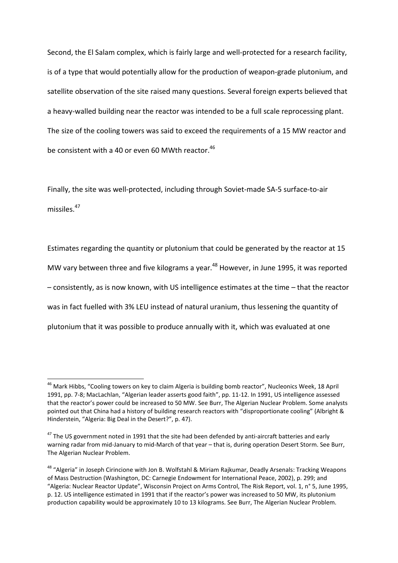Second, the El Salam complex, which is fairly large and well-protected for a research facility, is of a type that would potentially allow for the production of weapon-grade plutonium, and satellite observation of the site raised many questions. Several foreign experts believed that a heavy-walled building near the reactor was intended to be a full scale reprocessing plant. The size of the cooling towers was said to exceed the requirements of a 15 MW reactor and be consistent with a 40 or even 60 MWth reactor. $^{46}$ 

Finally, the site was well-protected, including through Soviet-made SA-5 surface-to-air missiles.<sup>47</sup>

Estimates regarding the quantity or plutonium that could be generated by the reactor at 15 MW vary between three and five kilograms a year.<sup>48</sup> However, in June 1995, it was reported – consistently, as is now known, with US intelligence estimates at the time – that the reactor was in fact fuelled with 3% LEU instead of natural uranium, thus lessening the quantity of plutonium that it was possible to produce annually with it, which was evaluated at one

<sup>&</sup>lt;sup>46</sup> Mark Hibbs, "Cooling towers on key to claim Algeria is building bomb reactor", Nucleonics Week, 18 April 1991, pp. 7-8; MacLachlan, "Algerian leader asserts good faith", pp. 11-12. In 1991, US intelligence assessed that the reactor's power could be increased to 50 MW. See Burr, The Algerian Nuclear Problem. Some analysts pointed out that China had a history of building research reactors with "disproportionate cooling" (Albright & Hinderstein, "Algeria: Big Deal in the Desert?", p. 47).

<sup>&</sup>lt;sup>47</sup> The US government noted in 1991 that the site had been defended by anti-aircraft batteries and early warning radar from mid-January to mid-March of that year – that is, during operation Desert Storm. See Burr, The Algerian Nuclear Problem.

<sup>&</sup>lt;sup>48</sup> "Algeria" in Joseph Cirincione with Jon B. Wolfstahl & Miriam Rajkumar, Deadly Arsenals: Tracking Weapons of Mass Destruction (Washington, DC: Carnegie Endowment for International Peace, 2002), p. 299; and "Algeria: Nuclear Reactor Update", Wisconsin Project on Arms Control, The Risk Report, vol. 1, n° 5, June 1995, p. 12. US intelligence estimated in 1991 that if the reactor's power was increased to 50 MW, its plutonium production capability would be approximately 10 to 13 kilograms. See Burr, The Algerian Nuclear Problem.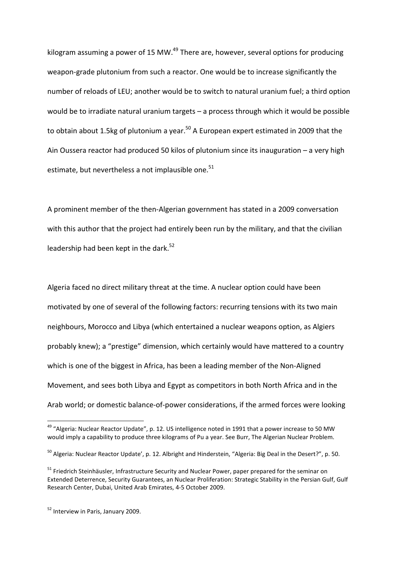kilogram assuming a power of 15 MW.<sup>49</sup> There are, however, several options for producing weapon-grade plutonium from such a reactor. One would be to increase significantly the number of reloads of LEU; another would be to switch to natural uranium fuel; a third option would be to irradiate natural uranium targets – a process through which it would be possible to obtain about 1.5kg of plutonium a year.<sup>50</sup> A European expert estimated in 2009 that the Ain Oussera reactor had produced 50 kilos of plutonium since its inauguration – a very high estimate, but nevertheless a not implausible one.<sup>51</sup>

A prominent member of the then-Algerian government has stated in a 2009 conversation with this author that the project had entirely been run by the military, and that the civilian leadership had been kept in the dark.<sup>52</sup>

Algeria faced no direct military threat at the time. A nuclear option could have been motivated by one of several of the following factors: recurring tensions with its two main neighbours, Morocco and Libya (which entertained a nuclear weapons option, as Algiers probably knew); a "prestige" dimension, which certainly would have mattered to a country which is one of the biggest in Africa, has been a leading member of the Non-Aligned Movement, and sees both Libya and Egypt as competitors in both North Africa and in the Arab world; or domestic balance-of-power considerations, if the armed forces were looking

<sup>&</sup>lt;sup>49</sup> "Algeria: Nuclear Reactor Update", p. 12. US intelligence noted in 1991 that a power increase to 50 MW would imply a capability to produce three kilograms of Pu a year. See Burr, The Algerian Nuclear Problem.

<sup>&</sup>lt;sup>50</sup> Algeria: Nuclear Reactor Update', p. 12. Albright and Hinderstein, "Algeria: Big Deal in the Desert?", p. 50.

<sup>&</sup>lt;sup>51</sup> Friedrich Steinhäusler, Infrastructure Security and Nuclear Power, paper prepared for the seminar on Extended Deterrence, Security Guarantees, an Nuclear Proliferation: Strategic Stability in the Persian Gulf, Gulf Research Center, Dubai, United Arab Emirates, 4-5 October 2009.

<sup>&</sup>lt;sup>52</sup> Interview in Paris, January 2009.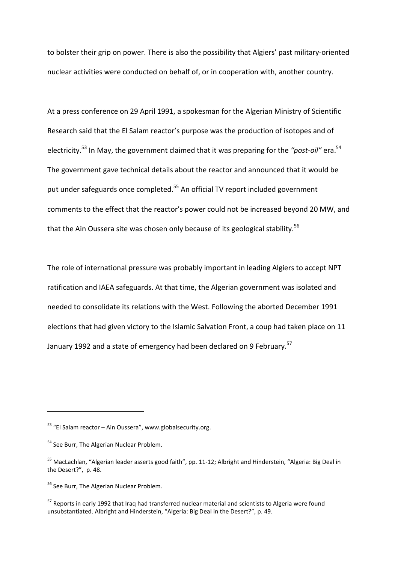to bolster their grip on power. There is also the possibility that Algiers' past military-oriented nuclear activities were conducted on behalf of, or in cooperation with, another country.

At a press conference on 29 April 1991, a spokesman for the Algerian Ministry of Scientific Research said that the El Salam reactor's purpose was the production of isotopes and of electricity.<sup>53</sup> In May, the government claimed that it was preparing for the *"post-oil"* era.<sup>54</sup> The government gave technical details about the reactor and announced that it would be put under safeguards once completed.<sup>55</sup> An official TV report included government comments to the effect that the reactor's power could not be increased beyond 20 MW, and that the Ain Oussera site was chosen only because of its geological stability.<sup>56</sup>

The role of international pressure was probably important in leading Algiers to accept NPT ratification and IAEA safeguards. At that time, the Algerian government was isolated and needed to consolidate its relations with the West. Following the aborted December 1991 elections that had given victory to the Islamic Salvation Front, a coup had taken place on 11 January 1992 and a state of emergency had been declared on 9 February.<sup>57</sup>

 $53$  "El Salam reactor – Ain Oussera", www.globalsecurity.org.

<sup>&</sup>lt;sup>54</sup> See Burr, The Algerian Nuclear Problem.

<sup>55</sup> MacLachlan, "Algerian leader asserts good faith", pp. 11-12; Albright and Hinderstein, "Algeria: Big Deal in the Desert?", p. 48.

<sup>&</sup>lt;sup>56</sup> See Burr, The Algerian Nuclear Problem.

<sup>&</sup>lt;sup>57</sup> Reports in early 1992 that Irag had transferred nuclear material and scientists to Algeria were found unsubstantiated. Albright and Hinderstein, "Algeria: Big Deal in the Desert?", p. 49.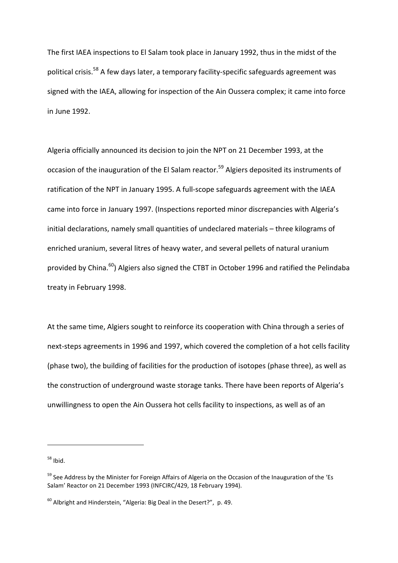The first IAEA inspections to El Salam took place in January 1992, thus in the midst of the political crisis.<sup>58</sup> A few days later, a temporary facility-specific safeguards agreement was signed with the IAEA, allowing for inspection of the Ain Oussera complex; it came into force in June 1992.

Algeria officially announced its decision to join the NPT on 21 December 1993, at the occasion of the inauguration of the El Salam reactor.<sup>59</sup> Algiers deposited its instruments of ratification of the NPT in January 1995. A full-scope safeguards agreement with the IAEA came into force in January 1997. (Inspections reported minor discrepancies with Algeria's initial declarations, namely small quantities of undeclared materials – three kilograms of enriched uranium, several litres of heavy water, and several pellets of natural uranium provided by China.<sup>60</sup>) Algiers also signed the CTBT in October 1996 and ratified the Pelindaba treaty in February 1998.

At the same time, Algiers sought to reinforce its cooperation with China through a series of next-steps agreements in 1996 and 1997, which covered the completion of a hot cells facility (phase two), the building of facilities for the production of isotopes (phase three), as well as the construction of underground waste storage tanks. There have been reports of Algeria's unwillingness to open the Ain Oussera hot cells facility to inspections, as well as of an

 $58$  Ibid.

<sup>&</sup>lt;sup>59</sup> See Address by the Minister for Foreign Affairs of Algeria on the Occasion of the Inauguration of the 'Es Salam' Reactor on 21 December 1993 (INFCIRC/429, 18 February 1994).

 $60$  Albright and Hinderstein, "Algeria: Big Deal in the Desert?", p. 49.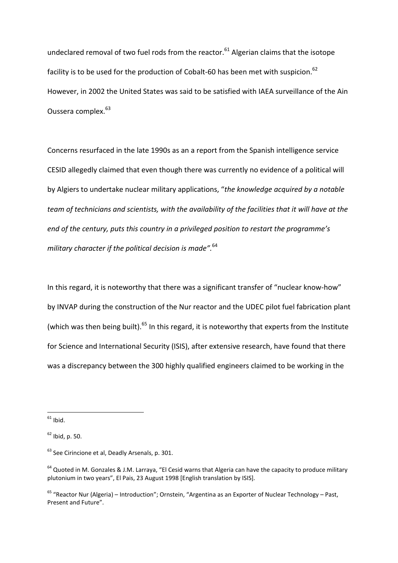undeclared removal of two fuel rods from the reactor. $61$  Algerian claims that the isotope facility is to be used for the production of Cobalt-60 has been met with suspicion.<sup>62</sup> However, in 2002 the United States was said to be satisfied with IAEA surveillance of the Ain Oussera complex.<sup>63</sup>

Concerns resurfaced in the late 1990s as an a report from the Spanish intelligence service CESID allegedly claimed that even though there was currently no evidence of a political will by Algiers to undertake nuclear military applications, "*the knowledge acquired by a notable team of technicians and scientists, with the availability of the facilities that it will have at the end of the century, puts this country in a privileged position to restart the programme's military character if the political decision is made".*<sup>64</sup>

In this regard, it is noteworthy that there was a significant transfer of "nuclear know-how" by INVAP during the construction of the Nur reactor and the UDEC pilot fuel fabrication plant (which was then being built).<sup>65</sup> In this regard, it is noteworthy that experts from the Institute for Science and International Security (ISIS), after extensive research, have found that there was a discrepancy between the 300 highly qualified engineers claimed to be working in the

 $61$  Ibid.

 $62$  Ibid, p. 50.

 $63$  See Cirincione et al. Deadly Arsenals, p. 301.

<sup>&</sup>lt;sup>64</sup> Quoted in M. Gonzales & J.M. Larraya, "El Cesid warns that Algeria can have the capacity to produce military plutonium in two years", El Pais, 23 August 1998 [English translation by ISIS].

 $65$  "Reactor Nur (Algeria) – Introduction"; Ornstein, "Argentina as an Exporter of Nuclear Technology – Past, Present and Future".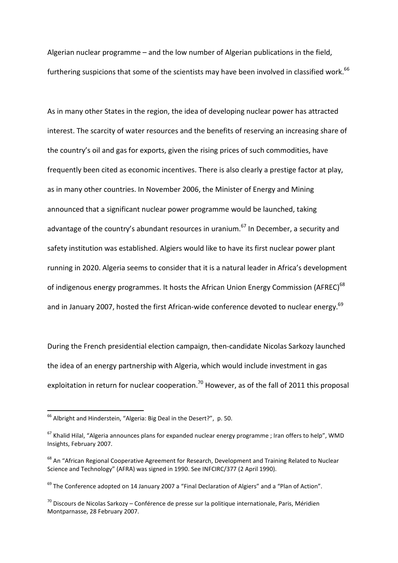Algerian nuclear programme – and the low number of Algerian publications in the field, furthering suspicions that some of the scientists may have been involved in classified work.<sup>66</sup>

As in many other States in the region, the idea of developing nuclear power has attracted interest. The scarcity of water resources and the benefits of reserving an increasing share of the country's oil and gas for exports, given the rising prices of such commodities, have frequently been cited as economic incentives. There is also clearly a prestige factor at play, as in many other countries. In November 2006, the Minister of Energy and Mining announced that a significant nuclear power programme would be launched, taking advantage of the country's abundant resources in uranium.<sup>67</sup> In December, a security and safety institution was established. Algiers would like to have its first nuclear power plant running in 2020. Algeria seems to consider that it is a natural leader in Africa's development of indigenous energy programmes. It hosts the African Union Energy Commission (AFREC)<sup>68</sup> and in January 2007, hosted the first African-wide conference devoted to nuclear energy. $69$ 

During the French presidential election campaign, then-candidate Nicolas Sarkozy launched the idea of an energy partnership with Algeria, which would include investment in gas exploitation in return for nuclear cooperation.<sup>70</sup> However, as of the fall of 2011 this proposal

<sup>66</sup> Albright and Hinderstein, "Algeria: Big Deal in the Desert?", p. 50.

 $67$  Khalid Hilal, "Algeria announces plans for expanded nuclear energy programme; Iran offers to help", WMD Insights, February 2007.

<sup>&</sup>lt;sup>68</sup> An "African Regional Cooperative Agreement for Research, Development and Training Related to Nuclear Science and Technology" (AFRA) was signed in 1990. See INFCIRC/377 (2 April 1990).

<sup>&</sup>lt;sup>69</sup> The Conference adopted on 14 January 2007 a "Final Declaration of Algiers" and a "Plan of Action".

 $^{70}$  Discours de Nicolas Sarkozy – Conférence de presse sur la politique internationale. Paris, Méridien Montparnasse, 28 February 2007.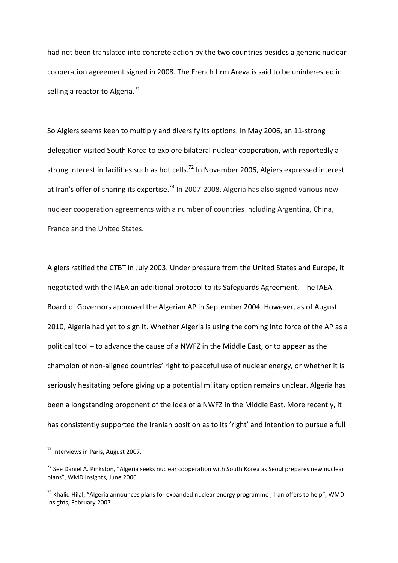had not been translated into concrete action by the two countries besides a generic nuclear cooperation agreement signed in 2008. The French firm Areva is said to be uninterested in selling a reactor to Algeria. $^{71}$ 

So Algiers seems keen to multiply and diversify its options. In May 2006, an 11-strong delegation visited South Korea to explore bilateral nuclear cooperation, with reportedly a strong interest in facilities such as hot cells.<sup>72</sup> In November 2006, Algiers expressed interest at Iran's offer of sharing its expertise.<sup>73</sup> In 2007-2008, Algeria has also signed various new nuclear cooperation agreements with a number of countries including Argentina, China, France and the United States.

Algiers ratified the CTBT in July 2003. Under pressure from the United States and Europe, it negotiated with the IAEA an additional protocol to its Safeguards Agreement. The IAEA Board of Governors approved the Algerian AP in September 2004. However, as of August 2010, Algeria had yet to sign it. Whether Algeria is using the coming into force of the AP as a political tool – to advance the cause of a NWFZ in the Middle East, or to appear as the champion of non-aligned countries' right to peaceful use of nuclear energy, or whether it is seriously hesitating before giving up a potential military option remains unclear. Algeria has been a longstanding proponent of the idea of a NWFZ in the Middle East. More recently, it has consistently supported the Iranian position as to its 'right' and intention to pursue a full

-

 $71$  Interviews in Paris, August 2007.

<sup>&</sup>lt;sup>72</sup> See Daniel A. Pinkston, "Algeria seeks nuclear cooperation with South Korea as Seoul prepares new nuclear plans", WMD Insights, June 2006.

<sup>&</sup>lt;sup>73</sup> Khalid Hilal, "Algeria announces plans for expanded nuclear energy programme ; Iran offers to help", WMD Insights, February 2007.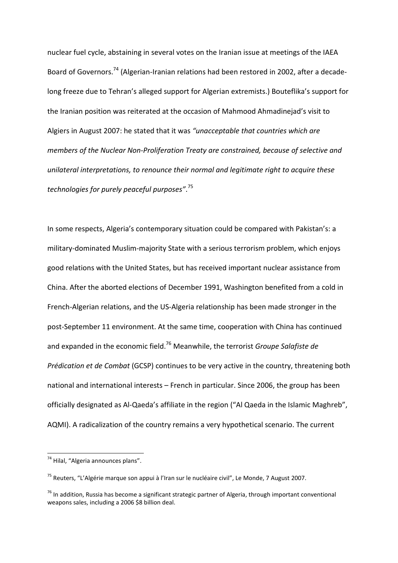nuclear fuel cycle, abstaining in several votes on the Iranian issue at meetings of the IAEA Board of Governors.<sup>74</sup> (Algerian-Iranian relations had been restored in 2002, after a decadelong freeze due to Tehran's alleged support for Algerian extremists.) Bouteflika's support for the Iranian position was reiterated at the occasion of Mahmood Ahmadinejad's visit to Algiers in August 2007: he stated that it was *"unacceptable that countries which are members of the Nuclear Non-Proliferation Treaty are constrained, because of selective and unilateral interpretations, to renounce their normal and legitimate right to acquire these technologies for purely peaceful purposes"*. 75

In some respects, Algeria's contemporary situation could be compared with Pakistan's: a military-dominated Muslim-majority State with a serious terrorism problem, which enjoys good relations with the United States, but has received important nuclear assistance from China. After the aborted elections of December 1991, Washington benefited from a cold in French-Algerian relations, and the US-Algeria relationship has been made stronger in the post-September 11 environment. At the same time, cooperation with China has continued and expanded in the economic field.<sup>76</sup> Meanwhile, the terrorist *Groupe Salafiste de Prédication et de Combat* (GCSP) continues to be very active in the country, threatening both national and international interests – French in particular. Since 2006, the group has been officially designated as Al-Qaeda's affiliate in the region ("Al Qaeda in the Islamic Maghreb", AQMI). A radicalization of the country remains a very hypothetical scenario. The current

 $74$  Hilal, "Algeria announces plans".

<sup>&</sup>lt;sup>75</sup> Reuters, "L'Algérie marque son appui à l'Iran sur le nucléaire civil", Le Monde, 7 August 2007.

 $76$  In addition, Russia has become a significant strategic partner of Algeria, through important conventional weapons sales, including a 2006 \$8 billion deal.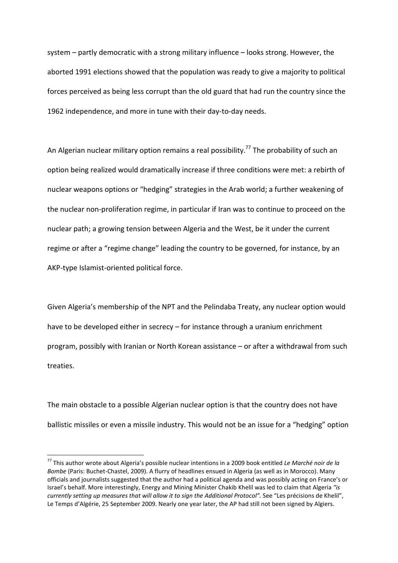system – partly democratic with a strong military influence – looks strong. However, the aborted 1991 elections showed that the population was ready to give a majority to political forces perceived as being less corrupt than the old guard that had run the country since the 1962 independence, and more in tune with their day-to-day needs.

An Algerian nuclear military option remains a real possibility.<sup>77</sup> The probability of such an option being realized would dramatically increase if three conditions were met: a rebirth of nuclear weapons options or "hedging" strategies in the Arab world; a further weakening of the nuclear non-proliferation regime, in particular if Iran was to continue to proceed on the nuclear path; a growing tension between Algeria and the West, be it under the current regime or after a "regime change" leading the country to be governed, for instance, by an AKP-type Islamist-oriented political force.

Given Algeria's membership of the NPT and the Pelindaba Treaty, any nuclear option would have to be developed either in secrecy - for instance through a uranium enrichment program, possibly with Iranian or North Korean assistance – or after a withdrawal from such treaties.

The main obstacle to a possible Algerian nuclear option is that the country does not have ballistic missiles or even a missile industry. This would not be an issue for a "hedging" option

<sup>77</sup> This author wrote about Algeria's possible nuclear intentions in a 2009 book entitled *Le Marché noir de la Bombe* (Paris: Buchet-Chastel, 2009). A flurry of headlines ensued in Algeria (as well as in Morocco). Many officials and journalists suggested that the author had a political agenda and was possibly acting on France's or Israel's behalf. More interestingly, Energy and Mining Minister Chakib Khelil was led to claim that Algeria *"is currently setting up measures that will allow it to sign the Additional Protocol".* See "Les précisions de Khelil", Le Temps d'Algérie, 25 September 2009. Nearly one year later, the AP had still not been signed by Algiers.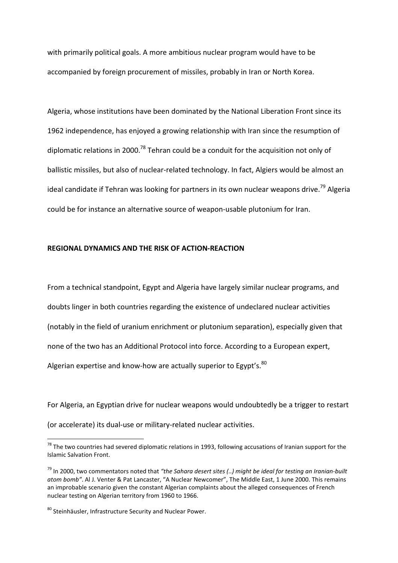with primarily political goals. A more ambitious nuclear program would have to be accompanied by foreign procurement of missiles, probably in Iran or North Korea.

Algeria, whose institutions have been dominated by the National Liberation Front since its 1962 independence, has enjoyed a growing relationship with Iran since the resumption of diplomatic relations in 2000.<sup>78</sup> Tehran could be a conduit for the acquisition not only of ballistic missiles, but also of nuclear-related technology. In fact, Algiers would be almost an ideal candidate if Tehran was looking for partners in its own nuclear weapons drive.<sup>79</sup> Algeria could be for instance an alternative source of weapon-usable plutonium for Iran.

### **REGIONAL DYNAMICS AND THE RISK OF ACTION-REACTION**

From a technical standpoint, Egypt and Algeria have largely similar nuclear programs, and doubts linger in both countries regarding the existence of undeclared nuclear activities (notably in the field of uranium enrichment or plutonium separation), especially given that none of the two has an Additional Protocol into force. According to a European expert, Algerian expertise and know-how are actually superior to Egypt's. $^{80}$ 

For Algeria, an Egyptian drive for nuclear weapons would undoubtedly be a trigger to restart (or accelerate) its dual-use or military-related nuclear activities.

 $78$  The two countries had severed diplomatic relations in 1993, following accusations of Iranian support for the Islamic Salvation Front.

<sup>79</sup> In 2000, two commentators noted that *"the Sahara desert sites (..) might be ideal for testing an Iranian-built atom bomb"*. Al J. Venter & Pat Lancaster, "A Nuclear Newcomer", The Middle East, 1 June 2000. This remains an improbable scenario given the constant Algerian complaints about the alleged consequences of French nuclear testing on Algerian territory from 1960 to 1966.

<sup>80</sup> Steinhäusler, Infrastructure Security and Nuclear Power.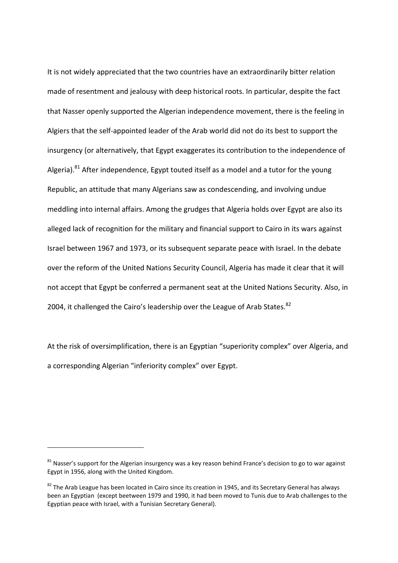It is not widely appreciated that the two countries have an extraordinarily bitter relation made of resentment and jealousy with deep historical roots. In particular, despite the fact that Nasser openly supported the Algerian independence movement, there is the feeling in Algiers that the self-appointed leader of the Arab world did not do its best to support the insurgency (or alternatively, that Egypt exaggerates its contribution to the independence of Algeria). $81$  After independence, Egypt touted itself as a model and a tutor for the young Republic, an attitude that many Algerians saw as condescending, and involving undue meddling into internal affairs. Among the grudges that Algeria holds over Egypt are also its alleged lack of recognition for the military and financial support to Cairo in its wars against Israel between 1967 and 1973, or its subsequent separate peace with Israel. In the debate over the reform of the United Nations Security Council, Algeria has made it clear that it will not accept that Egypt be conferred a permanent seat at the United Nations Security. Also, in 2004, it challenged the Cairo's leadership over the League of Arab States.<sup>82</sup>

At the risk of oversimplification, there is an Egyptian "superiority complex" over Algeria, and a corresponding Algerian "inferiority complex" over Egypt.

 $81$  Nasser's support for the Algerian insurgency was a key reason behind France's decision to go to war against Egypt in 1956, along with the United Kingdom.

 $82$  The Arab League has been located in Cairo since its creation in 1945, and its Secretary General has always been an Egyptian (except beetween 1979 and 1990, it had been moved to Tunis due to Arab challenges to the Egyptian peace with Israel, with a Tunisian Secretary General).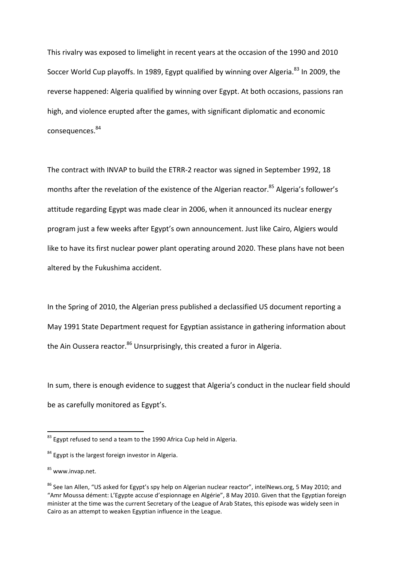This rivalry was exposed to limelight in recent years at the occasion of the 1990 and 2010 Soccer World Cup playoffs. In 1989, Egypt qualified by winning over Algeria.<sup>83</sup> In 2009, the reverse happened: Algeria qualified by winning over Egypt. At both occasions, passions ran high, and violence erupted after the games, with significant diplomatic and economic consequences. 84

The contract with INVAP to build the ETRR-2 reactor was signed in September 1992, 18 months after the revelation of the existence of the Algerian reactor.<sup>85</sup> Algeria's follower's attitude regarding Egypt was made clear in 2006, when it announced its nuclear energy program just a few weeks after Egypt's own announcement. Just like Cairo, Algiers would like to have its first nuclear power plant operating around 2020. These plans have not been altered by the Fukushima accident.

In the Spring of 2010, the Algerian press published a declassified US document reporting a May 1991 State Department request for Egyptian assistance in gathering information about the Ain Oussera reactor.<sup>86</sup> Unsurprisingly, this created a furor in Algeria.

In sum, there is enough evidence to suggest that Algeria's conduct in the nuclear field should be as carefully monitored as Egypt's.

 $83$  Egypt refused to send a team to the 1990 Africa Cup held in Algeria.

<sup>84</sup> Egypt is the largest foreign investor in Algeria.

 $85$  www.invap.net.

<sup>&</sup>lt;sup>86</sup> See Ian Allen, "US asked for Egypt's spy help on Algerian nuclear reactor", intelNews.org, 5 May 2010; and "Amr Moussa dément: L'Egypte accuse d'espionnage en Algérie", 8 May 2010. Given that the Egyptian foreign minister at the time was the current Secretary of the League of Arab States, this episode was widely seen in Cairo as an attempt to weaken Egyptian influence in the League.